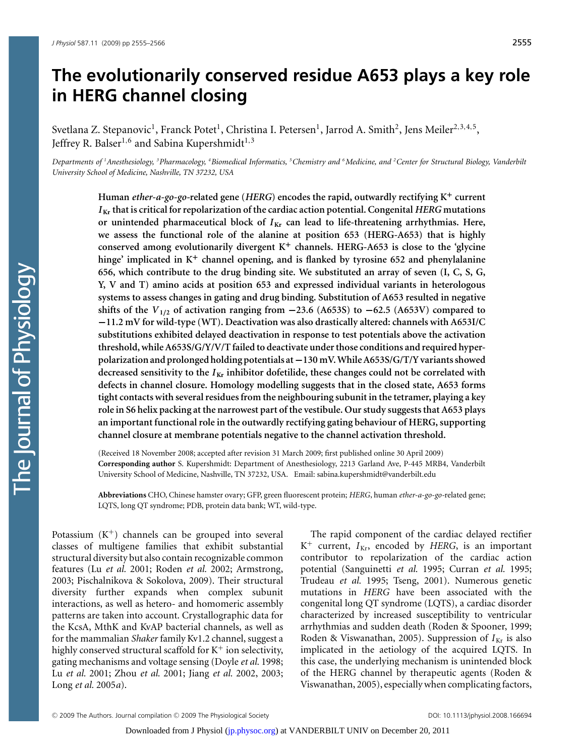# **The evolutionarily conserved residue A653 plays a key role in HERG channel closing**

Svetlana Z. Stepanovic<sup>1</sup>, Franck Potet<sup>1</sup>, Christina I. Petersen<sup>1</sup>, Jarrod A. Smith<sup>2</sup>, Jens Meiler<sup>2,3,4,5</sup>, Jeffrey R. Balser<sup>1,6</sup> and Sabina Kupershmidt<sup>1,3</sup>

Departments of <sup>1</sup>Anesthesiology, <sup>3</sup>Pharmacology, <sup>4</sup>Biomedical Informatics, <sup>5</sup>Chemistry and <sup>6</sup>Medicine, and <sup>2</sup>Center for Structural Biology, Vanderbill *University School of Medicine, Nashville, TN 37232, USA*

**Human** *ether-a-go-go-***related gene (***HERG***) encodes the rapid, outwardly rectifying K<sup>+</sup> current** *I* **Kr that is critical for repolarization of the cardiac action potential. Congenital** *HERG* **mutations** or unintended pharmaceutical block of  $I_{\text{Kr}}$  can lead to life-threatening arrhythmias. Here, **we assess the functional role of the alanine at position 653 (HERG-A653) that is highly conserved among evolutionarily divergent K<sup>+</sup> channels. HERG-A653 is close to the 'glycine hinge' implicated in K<sup>+</sup> channel opening, and is flanked by tyrosine 652 and phenylalanine 656, which contribute to the drug binding site. We substituted an array of seven (I, C, S, G, Y, V and T) amino acids at position 653 and expressed individual variants in heterologous systems to assess changes in gating and drug binding. Substitution of A653 resulted in negative shifts of the**  $V_{1/2}$  of activation ranging from  $-23.6$  (A653S) to  $-62.5$  (A653V) compared to **−11.2 mV for wild-type (WT). Deactivation was also drastically altered: channels with A653I/C substitutions exhibited delayed deactivation in response to test potentials above the activation threshold, while A653S/G/Y/V/T failed to deactivate under those conditions and required hyperpolarization and prolonged holding potentials at−130 mV. While A653S/G/T/Y variants showed decreased sensitivity to the** *I* **Kr inhibitor dofetilide, these changes could not be correlated with defects in channel closure. Homology modelling suggests that in the closed state, A653 forms tight contacts with several residues from the neighbouring subunit in the tetramer, playing a key role in S6 helix packing at the narrowest part of the vestibule. Our study suggests that A653 plays an important functional role in the outwardly rectifying gating behaviour of HERG, supporting channel closure at membrane potentials negative to the channel activation threshold.**

(Received 18 November 2008; accepted after revision 31 March 2009; first published online 30 April 2009) **Corresponding author** S. Kupershmidt: Department of Anesthesiology, 2213 Garland Ave, P-445 MRB4, Vanderbilt University School of Medicine, Nashville, TN 37232, USA. Email: sabina.kupershmidt@vanderbilt.edu

**Abbreviations** CHO, Chinese hamster ovary; GFP, green fluorescent protein; *HERG*, human *ether-a-go-go-*related gene; LQTS, long QT syndrome; PDB, protein data bank; WT, wild-type.

Potassium  $(K^+)$  channels can be grouped into several classes of multigene families that exhibit substantial structural diversity but also contain recognizable common features (Lu *et al.* 2001; Roden *et al.* 2002; Armstrong, 2003; Pischalnikova & Sokolova, 2009). Their structural diversity further expands when complex subunit interactions, as well as hetero- and homomeric assembly patterns are taken into account. Crystallographic data for the KcsA, MthK and KvAP bacterial channels, as well as for the mammalian *Shaker* family Kv1.2 channel, suggest a highly conserved structural scaffold for  $K^+$  ion selectivity, gating mechanisms and voltage sensing (Doyle *et al.* 1998; Lu *et al.* 2001; Zhou *et al.* 2001; Jiang *et al.* 2002, 2003; Long *et al.* 2005*a*).

The rapid component of the cardiac delayed rectifier  $K^+$  current,  $I_{Kr}$ , encoded by *HERG*, is an important contributor to repolarization of the cardiac action potential (Sanguinetti *et al.* 1995; Curran *et al.* 1995; Trudeau *et al.* 1995; Tseng, 2001). Numerous genetic mutations in *HERG* have been associated with the congenital long QT syndrome (LQTS), a cardiac disorder characterized by increased susceptibility to ventricular arrhythmias and sudden death (Roden & Spooner, 1999; Roden & Viswanathan, 2005). Suppression of  $I_{\text{Kr}}$  is also implicated in the aetiology of the acquired LQTS. In this case, the underlying mechanism is unintended block of the HERG channel by therapeutic agents (Roden & Viswanathan, 2005), especially when complicating factors,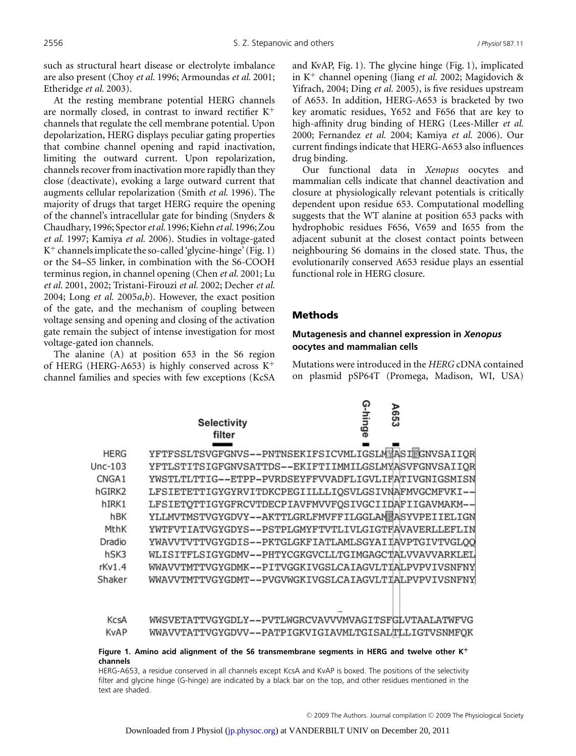such as structural heart disease or electrolyte imbalance are also present (Choy *et al.* 1996; Armoundas *et al.* 2001; Etheridge *et al.* 2003).

At the resting membrane potential HERG channels are normally closed, in contrast to inward rectifier K<sup>+</sup> channels that regulate the cell membrane potential. Upon depolarization, HERG displays peculiar gating properties that combine channel opening and rapid inactivation, limiting the outward current. Upon repolarization, channels recover from inactivation more rapidly than they close (deactivate), evoking a large outward current that augments cellular repolarization (Smith *et al.* 1996). The majority of drugs that target HERG require the opening of the channel's intracellular gate for binding (Snyders & Chaudhary, 1996; Spector*et al.* 1996;Kiehn*et al.* 1996; Zou *et al.* 1997; Kamiya *et al.* 2006). Studies in voltage-gated  $K^+$  channels implicate the so-called 'glycine-hinge' (Fig. 1) or the S4–S5 linker, in combination with the S6-COOH terminus region, in channel opening (Chen *et al.* 2001; Lu *et al.* 2001, 2002; Tristani-Firouzi *et al.* 2002; Decher *et al.* 2004; Long *et al.* 2005*a*,*b*). However, the exact position of the gate, and the mechanism of coupling between voltage sensing and opening and closing of the activation gate remain the subject of intense investigation for most voltage-gated ion channels.

The alanine (A) at position 653 in the S6 region of HERG (HERG-A653) is highly conserved across  $K^+$ channel families and species with few exceptions (KcSA and KvAP, Fig. 1). The glycine hinge (Fig. 1), implicated in K<sup>+</sup> channel opening (Jiang *et al.* 2002; Magidovich & Yifrach, 2004; Ding *et al.* 2005), is five residues upstream of A653. In addition, HERG-A653 is bracketed by two key aromatic residues, Y652 and F656 that are key to high-affinity drug binding of HERG (Lees-Miller *et al.* 2000; Fernandez *et al.* 2004; Kamiya *et al.* 2006). Our current findings indicate that HERG-A653 also influences drug binding.

Our functional data in *Xenopus* oocytes and mammalian cells indicate that channel deactivation and closure at physiologically relevant potentials is critically dependent upon residue 653. Computational modelling suggests that the WT alanine at position 653 packs with hydrophobic residues F656, V659 and I655 from the adjacent subunit at the closest contact points between neighbouring S6 domains in the closed state. Thus, the evolutionarily conserved A653 residue plays an essential functional role in HERG closure.

## Methods

## **Mutagenesis and channel expression in** *Xenopus* **oocytes and mammalian cells**

ດ

Mutations were introduced in the *HERG* cDNA contained on plasmid pSP64T (Promega, Madison, WI, USA)

|                   | <b>Selectivity</b><br>filter                         | hinge  | 653 |
|-------------------|------------------------------------------------------|--------|-----|
|                   |                                                      |        |     |
| <b>HERG</b>       | YFTFSSLTSVGFGNVS--PNTNSEKIFSICVMLIGSLMMASIFGNVSAIIOR |        |     |
| $Unc-103$         | YFTLSTITSIGFGNVSATTDS--EKIFTIIMMILGSLMYASVFGNVSAIIOR |        |     |
| CNGA <sub>1</sub> | YWSTLTLTTIG--ETPP-PVRDSEYFFVVADFLIGVLIFATIVGNIGSMISN |        |     |
| hGIRK2            | LFSIETETTIGYGYRVITDKCPEGIILLLIOSVLGSIVNAFMVGCMFVKI-- |        |     |
| hIRK1             | LFSIETOTTIGYGFRCVTDECPIAVFMVVFOSIVGCIIDAFIIGAVMAKM-- |        |     |
| hBK               | YLLMVTMSTVGYGDVY--AKTTLGRLFMVFFILGGLAMFASYVPEIIELIGN |        |     |
| MthK              | YWTFVTIATVGYGDYS--PSTPLGMYFTVTLIVLGIGTFAVAVERLLEFLIN |        |     |
| Dradio            | YWAVVTVTTVGYGDIS--PKTGLGKFIATLAMLSGYAIIAVPTGIVTVGLOO |        |     |
| hSK3              | WLISITFLSIGYGDMV--PHTYCGKGVCLLTGIMGAGCTALVVAVVARKLEL |        |     |
| rkv1.4            | WWAVVTMTTVGYGDMK--PITVGGKIVGSLCAIAGVLTIALPVPVIVSNFNY |        |     |
| Shaker            | WWAVVTMTTVGYGDMT--PVGVWGKIVGSLCAIAGVLTIALPVPVIVSNFNY |        |     |
|                   |                                                      |        |     |
|                   |                                                      |        |     |
|                   |                                                      | $\sim$ |     |

| KcsA        | WWSVETATTVGYGDLY--PVTLWGRCVAVVVMVAGITSFGLVTAALATWFVG |
|-------------|------------------------------------------------------|
| <b>KvAP</b> | WWAVVTATTVGYGDVV--PATPIGKVIGIAVMLTGISALTLLIGTVSNMFQK |

## **Figure 1. Amino acid alignment of the S6 transmembrane segments in HERG and twelve other K+ channels**

HERG-A653, a residue conserved in all channels except KcsA and KvAP is boxed. The positions of the selectivity filter and glycine hinge (G-hinge) are indicated by a black bar on the top, and other residues mentioned in the text are shaded.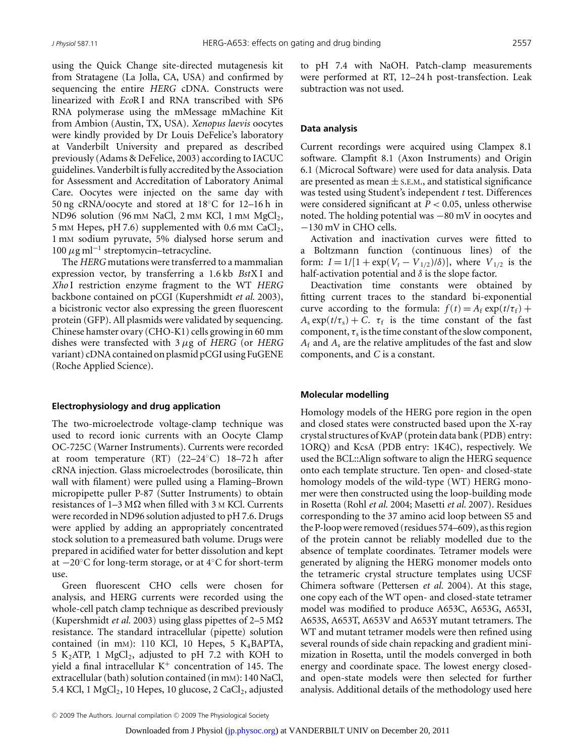using the Quick Change site-directed mutagenesis kit from Stratagene (La Jolla, CA, USA) and confirmed by sequencing the entire *HERG* cDNA. Constructs were linearized with *Eco*R I and RNA transcribed with SP6 RNA polymerase using the mMessage mMachine Kit from Ambion (Austin, TX, USA). *Xenopus laevis* oocytes were kindly provided by Dr Louis DeFelice's laboratory at Vanderbilt University and prepared as described previously (Adams & DeFelice, 2003) according to IACUC guidelines. Vanderbilt is fully accredited by the Association for Assessment and Accreditation of Laboratory Animal Care. Oocytes were injected on the same day with 50 ng cRNA/oocyte and stored at 18◦C for 12–16 h in ND96 solution (96 mm NaCl, 2 mm KCl, 1 mm  $MgCl<sub>2</sub>$ , 5 mM Hepes, pH 7.6) supplemented with 0.6 mM  $CaCl<sub>2</sub>$ , 1 mM sodium pyruvate, 5% dialysed horse serum and  $100 \mu$ g ml<sup>-1</sup> streptomycin–tetracycline.

The *HERG* mutations were transferred to a mammalian expression vector, by transferring a 1.6 kb *Bst*X I and *Xho* I restriction enzyme fragment to the WT *HERG* backbone contained on pCGI (Kupershmidt *et al.* 2003), a bicistronic vector also expressing the green fluorescent protein (GFP). All plasmids were validated by sequencing. Chinese hamster ovary (CHO-K1) cells growing in 60 mm dishes were transfected with 3 *μ*g of *HERG* (or *HERG* variant) cDNA contained on plasmid pCGI using FuGENE (Roche Applied Science).

## **Electrophysiology and drug application**

The two-microelectrode voltage-clamp technique was used to record ionic currents with an Oocyte Clamp OC-725C (Warner Instruments). Currents were recorded at room temperature (RT) (22–24◦C) 18–72 h after cRNA injection. Glass microelectrodes (borosilicate, thin wall with filament) were pulled using a Flaming–Brown micropipette puller P-87 (Sutter Instruments) to obtain resistances of 1–3 MΩ when filled with 3 M KCl. Currents were recorded in ND96 solution adjusted to pH 7.6. Drugs were applied by adding an appropriately concentrated stock solution to a premeasured bath volume. Drugs were prepared in acidified water for better dissolution and kept at −20◦C for long-term storage, or at 4◦C for short-term use.

Green fluorescent CHO cells were chosen for analysis, and HERG currents were recorded using the whole-cell patch clamp technique as described previously (Kupershmidt *et al.* 2003) using glass pipettes of 2–5 M resistance. The standard intracellular (pipette) solution contained (in mM): 110 KCl, 10 Hepes, 5 K4BAPTA, 5 K<sub>2</sub>ATP, 1 MgCl<sub>2</sub>, adjusted to pH 7.2 with KOH to yield a final intracellular  $K^+$  concentration of 145. The extracellular (bath) solution contained (in mM): 140 NaCl, 5.4 KCl, 1  $MgCl<sub>2</sub>$ , 10 Hepes, 10 glucose, 2 CaCl<sub>2</sub>, adjusted to pH 7.4 with NaOH. Patch-clamp measurements were performed at RT, 12–24 h post-transfection. Leak subtraction was not used.

#### **Data analysis**

Current recordings were acquired using Clampex 8.1 software. Clampfit 8.1 (Axon Instruments) and Origin 6.1 (Microcal Software) were used for data analysis. Data are presented as mean  $\pm$  s.e.m., and statistical significance was tested using Student's independent *t* test. Differences were considered significant at *P <* 0.05, unless otherwise noted. The holding potential was −80 mV in oocytes and −130 mV in CHO cells.

Activation and inactivation curves were fitted to a Boltzmann function (continuous lines) of the form:  $I = 1/[1 + \exp(V_t - V_{1/2})/\delta)]$ , where  $V_{1/2}$  is the half-activation potential and *δ* is the slope factor.

Deactivation time constants were obtained by fitting current traces to the standard bi-exponential curve according to the formula:  $f(t) = A_f \exp(t/\tau_f) +$  $A_s \exp(t/\tau_s) + C$ .  $\tau_f$  is the time constant of the fast component,  $\tau_s$  is the time constant of the slow component, *A*<sup>f</sup> and *A*<sup>s</sup> are the relative amplitudes of the fast and slow components, and *C* is a constant.

#### **Molecular modelling**

Homology models of the HERG pore region in the open and closed states were constructed based upon the X-ray crystal structures of KvAP (protein data bank (PDB) entry: 1ORQ) and KcsA (PDB entry: 1K4C), respectively. We used the BCL::Align software to align the HERG sequence onto each template structure. Ten open- and closed-state homology models of the wild-type (WT) HERG monomer were then constructed using the loop-building mode in Rosetta (Rohl *et al.* 2004; Masetti *et al.* 2007). Residues corresponding to the 37 amino acid loop between S5 and the P-loop were removed (residues 574–609), as this region of the protein cannot be reliably modelled due to the absence of template coordinates. Tetramer models were generated by aligning the HERG monomer models onto the tetrameric crystal structure templates using UCSF Chimera software (Pettersen *et al.* 2004). At this stage, one copy each of the WT open- and closed-state tetramer model was modified to produce A653C, A653G, A653I, A653S, A653T, A653V and A653Y mutant tetramers. The WT and mutant tetramer models were then refined using several rounds of side chain repacking and gradient minimization in Rosetta, until the models converged in both energy and coordinate space. The lowest energy closedand open-state models were then selected for further analysis. Additional details of the methodology used here

<sup>© 2009</sup> The Authors. Journal compilation © 2009 The Physiological Society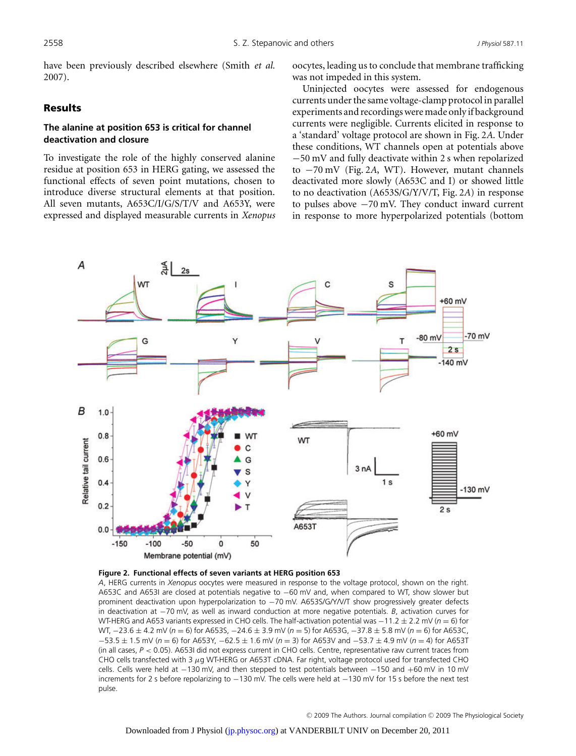have been previously described elsewhere (Smith *et al.* 2007).

## Results

# **The alanine at position 653 is critical for channel deactivation and closure**

To investigate the role of the highly conserved alanine residue at position 653 in HERG gating, we assessed the functional effects of seven point mutations, chosen to introduce diverse structural elements at that position. All seven mutants, A653C/I/G/S/T/V and A653Y, were expressed and displayed measurable currents in *Xenopus* oocytes, leading us to conclude that membrane trafficking was not impeded in this system.

Uninjected oocytes were assessed for endogenous currents under the same voltage-clamp protocol in parallel experiments and recordings were made only if background currents were negligible. Currents elicited in response to a 'standard' voltage protocol are shown in Fig. 2*A*. Under these conditions, WT channels open at potentials above −50 mV and fully deactivate within 2 s when repolarized to −70 mV (Fig. 2*A*, WT). However, mutant channels deactivated more slowly (A653C and I) or showed little to no deactivation (A653S/G/Y/V/T, Fig. 2*A*) in response to pulses above −70 mV. They conduct inward current in response to more hyperpolarized potentials (bottom



#### **Figure 2. Functional effects of seven variants at HERG position 653**

*A*, HERG currents in *Xenopus* oocytes were measured in response to the voltage protocol, shown on the right. A653C and A653I are closed at potentials negative to −60 mV and, when compared to WT, show slower but prominent deactivation upon hyperpolarization to −70 mV. A653S/G/Y/V/T show progressively greater defects in deactivation at −70 mV, as well as inward conduction at more negative potentials. *B*, activation curves for WT-HERG and A653 variants expressed in CHO cells. The half-activation potential was −11.2 ± 2.2 mV (*n* = 6) for WT, −23.6 ± 4.2 mV (*n* = 6) for A653S, −24.6 ± 3.9 mV (*n* = 5) for A653G, −37.8 ± 5.8 mV (*n* = 6) for A653C, −53.5 ± 1.5 mV (*n* = 6) for A653Y, −62.5 ± 1.6 mV (*n* = 3) for A653V and −53.7 ± 4.9 mV (*n* = 4) for A653T (in all cases, *P* < 0.05). A653I did not express current in CHO cells. Centre, representative raw current traces from CHO cells transfected with 3 μg WT-HERG or A653T cDNA. Far right, voltage protocol used for transfected CHO cells. Cells were held at −130 mV, and then stepped to test potentials between −150 and +60 mV in 10 mV increments for 2 s before repolarizing to −130 mV. The cells were held at −130 mV for 15 s before the next test pulse.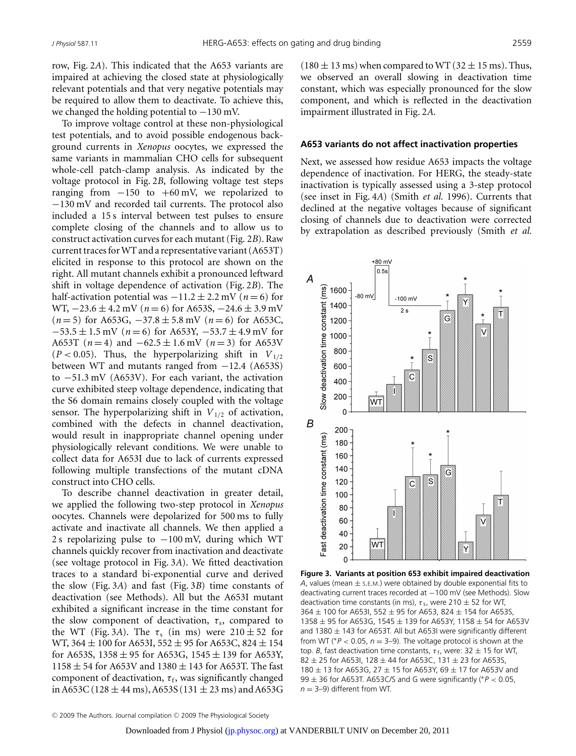row, Fig. 2*A*). This indicated that the A653 variants are impaired at achieving the closed state at physiologically relevant potentials and that very negative potentials may be required to allow them to deactivate. To achieve this, we changed the holding potential to  $-130$  mV.

To improve voltage control at these non-physiological test potentials, and to avoid possible endogenous background currents in *Xenopus* oocytes, we expressed the same variants in mammalian CHO cells for subsequent whole-cell patch-clamp analysis. As indicated by the voltage protocol in Fig. 2*B*, following voltage test steps ranging from  $-150$  to  $+60$  mV, we repolarized to −130 mV and recorded tail currents. The protocol also included a 15 s interval between test pulses to ensure complete closing of the channels and to allow us to construct activation curves for each mutant (Fig. 2*B*). Raw current traces for WT and a representative variant (A653T) elicited in response to this protocol are shown on the right. All mutant channels exhibit a pronounced leftward shift in voltage dependence of activation (Fig. 2*B*). The half-activation potential was  $-11.2 \pm 2.2$  mV ( $n = 6$ ) for WT, −23.6 ± 4.2 mV (*n* = 6) for A653S, −24.6 ± 3.9 mV (*n* = 5) for A653G, −37.8 ± 5.8 mV (*n* = 6) for A653C, −53.5 ± 1.5 mV (*n* = 6) for A653Y, −53.7 ± 4.9 mV for A653T ( $n = 4$ ) and  $-62.5 \pm 1.6$  mV ( $n = 3$ ) for A653V  $(P < 0.05)$ . Thus, the hyperpolarizing shift in  $V_{1/2}$ between WT and mutants ranged from −12.4 (A653S) to −51.3 mV (A653V). For each variant, the activation curve exhibited steep voltage dependence, indicating that the S6 domain remains closely coupled with the voltage sensor. The hyperpolarizing shift in  $V_{1/2}$  of activation, combined with the defects in channel deactivation, would result in inappropriate channel opening under physiologically relevant conditions. We were unable to collect data for A653I due to lack of currents expressed following multiple transfections of the mutant cDNA construct into CHO cells.

To describe channel deactivation in greater detail, we applied the following two-step protocol in *Xenopus* oocytes. Channels were depolarized for 500 ms to fully activate and inactivate all channels. We then applied a 2 s repolarizing pulse to −100 mV, during which WT channels quickly recover from inactivation and deactivate (see voltage protocol in Fig. 3*A*). We fitted deactivation traces to a standard bi-exponential curve and derived the slow (Fig. 3*A*) and fast (Fig. 3*B*) time constants of deactivation (see Methods). All but the A653I mutant exhibited a significant increase in the time constant for the slow component of deactivation,  $\tau_s$ , compared to the WT (Fig. 3A). The  $\tau_s$  (in ms) were  $210 \pm 52$  for WT, 364  $\pm$  100 for A653I, 552  $\pm$  95 for A653C, 824  $\pm$  154 for A653S,  $1358 \pm 95$  for A653G,  $1545 \pm 139$  for A653Y,  $1158 \pm 54$  for A653V and  $1380 \pm 143$  for A653T. The fast component of deactivation,  $\tau_f$ , was significantly changed in A653C (128  $\pm$  44 ms), A653S (131  $\pm$  23 ms) and A653G

 $(180 \pm 13 \text{ ms})$  when compared to WT  $(32 \pm 15 \text{ ms})$ . Thus, we observed an overall slowing in deactivation time constant, which was especially pronounced for the slow component, and which is reflected in the deactivation impairment illustrated in Fig. 2*A*.

#### **A653 variants do not affect inactivation properties**

Next, we assessed how residue A653 impacts the voltage dependence of inactivation. For HERG, the steady-state inactivation is typically assessed using a 3-step protocol (see inset in Fig. 4*A*) (Smith *et al.* 1996). Currents that declined at the negative voltages because of significant closing of channels due to deactivation were corrected by extrapolation as described previously (Smith *et al.*



**Figure 3. Variants at position 653 exhibit impaired deactivation** *A*, values (mean  $\pm$  s.E.M.) were obtained by double exponential fits to deactivating current traces recorded at −100 mV (see Methods). Slow deactivation time constants (in ms),  $\tau$  s, were 210  $\pm$  52 for WT,  $364 \pm 100$  for A653I, 552  $\pm$  95 for A653, 824  $\pm$  154 for A653S, 1358  $\pm$  95 for A653G, 1545  $\pm$  139 for A653Y, 1158  $\pm$  54 for A653V and 1380  $\pm$  143 for A653T. All but A653I were significantly different from WT ( $P < 0.05$ ,  $n = 3-9$ ). The voltage protocol is shown at the top. *B*, fast deactivation time constants,  $\tau_f$ , were: 32  $\pm$  15 for WT,  $82 \pm 25$  for A653I, 128  $\pm$  44 for A653C, 131  $\pm$  23 for A653S, 180  $\pm$  13 for A653G, 27  $\pm$  15 for A653Y, 69  $\pm$  17 for A653V and 99 ± 36 for A653T. A653C/S and G were significantly (∗*P* < 0.05,  $n = 3-9$ ) different from WT.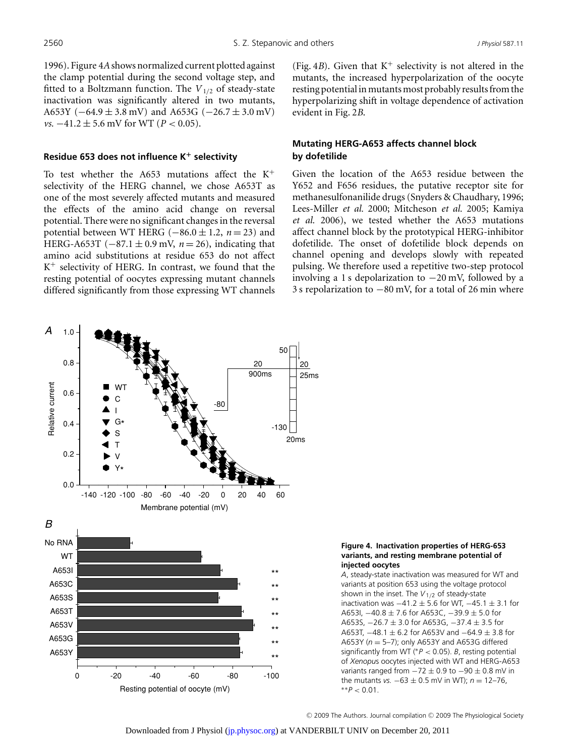1996). Figure 4*A*shows normalized current plotted against the clamp potential during the second voltage step, and fitted to a Boltzmann function. The *V*1*/*<sup>2</sup> of steady-state inactivation was significantly altered in two mutants, A653Y ( $-64.9 \pm 3.8$  mV) and A653G ( $-26.7 \pm 3.0$  mV) *vs.*  $-41.2$  ± 5.6 mV for WT (*P* < 0.05).

## **Residue 653 does not influence K<sup>+</sup> selectivity**

To test whether the A653 mutations affect the  $K^+$ selectivity of the HERG channel, we chose A653T as one of the most severely affected mutants and measured the effects of the amino acid change on reversal potential. There were no significant changes in the reversal potential between WT HERG (−86.0 ± 1.2, *n* = 23) and HERG-A653T ( $-87.1 \pm 0.9$  mV,  $n = 26$ ), indicating that amino acid substitutions at residue 653 do not affect  $K^+$  selectivity of HERG. In contrast, we found that the resting potential of oocytes expressing mutant channels differed significantly from those expressing WT channels (Fig. 4*B*). Given that  $K^+$  selectivity is not altered in the mutants, the increased hyperpolarization of the oocyte resting potential in mutants most probably results from the hyperpolarizing shift in voltage dependence of activation evident in Fig. 2*B*.

# **Mutating HERG-A653 affects channel block by dofetilide**

Given the location of the A653 residue between the Y652 and F656 residues, the putative receptor site for methanesulfonanilide drugs (Snyders & Chaudhary, 1996; Lees-Miller *et al.* 2000; Mitcheson *et al.* 2005; Kamiya *et al.* 2006), we tested whether the A653 mutations affect channel block by the prototypical HERG-inhibitor dofetilide. The onset of dofetilide block depends on channel opening and develops slowly with repeated pulsing. We therefore used a repetitive two-step protocol involving a 1 s depolarization to −20 mV, followed by a 3 s repolarization to −80 mV, for a total of 26 min where



## **Figure 4. Inactivation properties of HERG-653 variants, and resting membrane potential of injected oocytes**

*A*, steady-state inactivation was measured for WT and variants at position 653 using the voltage protocol shown in the inset. The *V*1/<sup>2</sup> of steady-state inactivation was  $-41.2 \pm 5.6$  for WT,  $-45.1 \pm 3.1$  for A653I,  $-40.8 \pm 7.6$  for A653C,  $-39.9 \pm 5.0$  for A653S, −26.7 ± 3.0 for A653G, −37.4 ± 3.5 for A653T, −48.1 ± 6.2 for A653V and −64.9 ± 3.8 for A653Y (*n* = 5–7); only A653Y and A653G differed significantly from WT (∗*P* < 0.05). *B*, resting potential of *Xenopu*s oocytes injected with WT and HERG-A653 variants ranged from  $-72 \pm 0.9$  to  $-90 \pm 0.8$  mV in the mutants *vs.*  $-63 \pm 0.5$  mV in WT);  $n = 12-76$ , ∗∗*P* < 0.01.

© 2009 The Authors. Journal compilation © 2009 The Physiological Society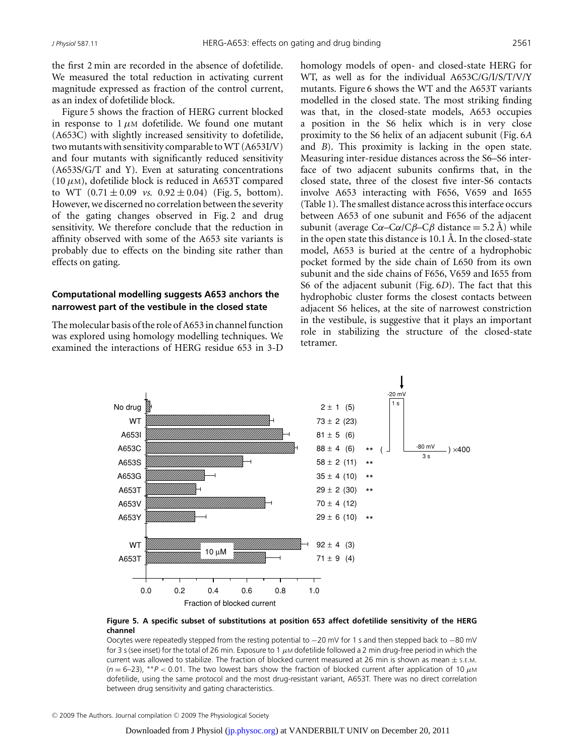the first 2 min are recorded in the absence of dofetilide. We measured the total reduction in activating current magnitude expressed as fraction of the control current, as an index of dofetilide block.

Figure 5 shows the fraction of HERG current blocked in response to  $1 \mu M$  dofetilide. We found one mutant (A653C) with slightly increased sensitivity to dofetilide, two mutants with sensitivity comparable toWT (A653I/V) and four mutants with significantly reduced sensitivity (A653S/G/T and Y). Even at saturating concentrations (10  $\mu$ M), dofetilide block is reduced in A653T compared to WT  $(0.71 \pm 0.09 \text{ vs. } 0.92 \pm 0.04)$  (Fig. 5, bottom). However, we discerned no correlation between the severity of the gating changes observed in Fig. 2 and drug sensitivity. We therefore conclude that the reduction in affinity observed with some of the A653 site variants is probably due to effects on the binding site rather than effects on gating.

# **Computational modelling suggests A653 anchors the narrowest part of the vestibule in the closed state**

The molecular basis of the role of A653 in channel function was explored using homology modelling techniques. We examined the interactions of HERG residue 653 in 3-D

homology models of open- and closed-state HERG for WT, as well as for the individual A653C/G/I/S/T/V/Y mutants. Figure 6 shows the WT and the A653T variants modelled in the closed state. The most striking finding was that, in the closed-state models, A653 occupies a position in the S6 helix which is in very close proximity to the S6 helix of an adjacent subunit (Fig. 6*A* and *B*). This proximity is lacking in the open state. Measuring inter-residue distances across the S6–S6 interface of two adjacent subunits confirms that, in the closed state, three of the closest five inter-S6 contacts involve A653 interacting with F656, V659 and I655 (Table 1). The smallest distance across this interface occurs between A653 of one subunit and F656 of the adjacent subunit (average  $C\alpha$ – $C\alpha$ / $C\beta$ – $C\beta$  distance = 5.2 Å) while in the open state this distance is  $10.1$  Å. In the closed-state model, A653 is buried at the centre of a hydrophobic pocket formed by the side chain of L650 from its own subunit and the side chains of F656, V659 and I655 from S6 of the adjacent subunit (Fig. 6*D*). The fact that this hydrophobic cluster forms the closest contacts between adjacent S6 helices, at the site of narrowest constriction in the vestibule, is suggestive that it plays an important role in stabilizing the structure of the closed-state tetramer.



## **Figure 5. A specific subset of substitutions at position 653 affect dofetilide sensitivity of the HERG channel**

Oocytes were repeatedly stepped from the resting potential to −20 mV for 1 s and then stepped back to −80 mV for 3 s (see inset) for the total of 26 min. Exposure to 1  $\mu$ M dofetilide followed a 2 min drug-free period in which the current was allowed to stabilize. The fraction of blocked current measured at 26 min is shown as mean  $\pm$  s.E.M. (*n* = 6–23), ∗∗*P* < 0.01. The two lowest bars show the fraction of blocked current after application of 10 μ<sup>M</sup> dofetilide, using the same protocol and the most drug-resistant variant, A653T. There was no direct correlation between drug sensitivity and gating characteristics.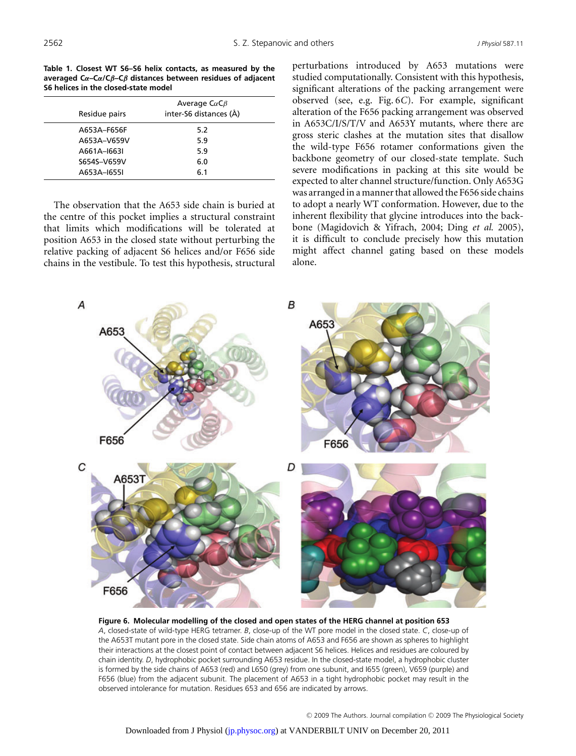**Table 1. Closest WT S6–S6 helix contacts, as measured by the averaged C***α***–C***α***/C***β***–C***β* **distances between residues of adjacent S6 helices in the closed-state model**

| Residue pairs | Average $C\alpha C\beta$<br>inter-S6 distances (Å) |  |
|---------------|----------------------------------------------------|--|
| A653A-F656F   | 5.2                                                |  |
| A653A-V659V   | 5.9                                                |  |
| A661A-1663I   | 5.9                                                |  |
| S654S-V659V   | 6.0                                                |  |
| A653A-1655I   | 6.1                                                |  |

The observation that the A653 side chain is buried at the centre of this pocket implies a structural constraint that limits which modifications will be tolerated at position A653 in the closed state without perturbing the relative packing of adjacent S6 helices and/or F656 side chains in the vestibule. To test this hypothesis, structural perturbations introduced by A653 mutations were studied computationally. Consistent with this hypothesis, significant alterations of the packing arrangement were observed (see, e.g. Fig. 6*C*). For example, significant alteration of the F656 packing arrangement was observed in A653C/I/S/T/V and A653Y mutants, where there are gross steric clashes at the mutation sites that disallow the wild-type F656 rotamer conformations given the backbone geometry of our closed-state template. Such severe modifications in packing at this site would be expected to alter channel structure/function. Only A653G was arranged in a manner that allowed the F656 side chains to adopt a nearly WT conformation. However, due to the inherent flexibility that glycine introduces into the backbone (Magidovich & Yifrach, 2004; Ding *et al.* 2005), it is difficult to conclude precisely how this mutation might affect channel gating based on these models alone.



**Figure 6. Molecular modelling of the closed and open states of the HERG channel at position 653** *A*, closed-state of wild-type HERG tetramer. *B*, close-up of the WT pore model in the closed state. *C*, close-up of the A653T mutant pore in the closed state. Side chain atoms of A653 and F656 are shown as spheres to highlight their interactions at the closest point of contact between adjacent S6 helices. Helices and residues are coloured by chain identity. *D*, hydrophobic pocket surrounding A653 residue. In the closed-state model, a hydrophobic cluster is formed by the side chains of A653 (red) and L650 (grey) from one subunit, and I655 (green), V659 (purple) and F656 (blue) from the adjacent subunit. The placement of A653 in a tight hydrophobic pocket may result in the observed intolerance for mutation. Residues 653 and 656 are indicated by arrows.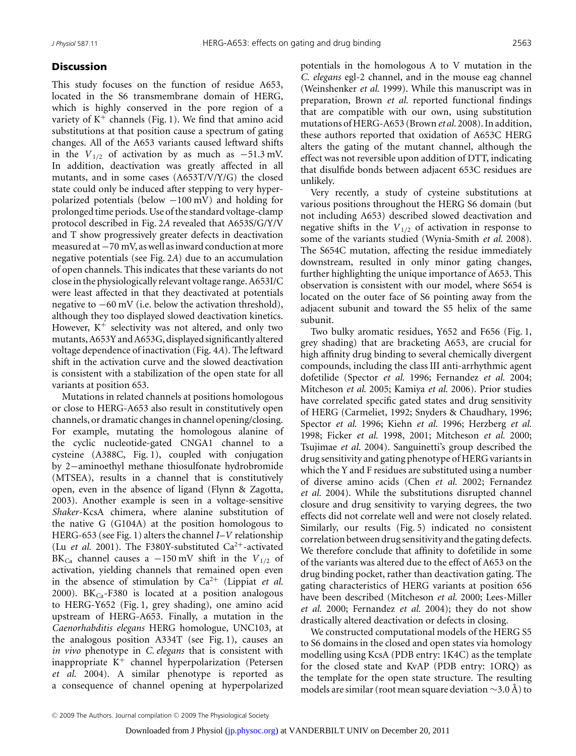## **Discussion**

This study focuses on the function of residue A653, located in the S6 transmembrane domain of HERG, which is highly conserved in the pore region of a variety of  $K^+$  channels (Fig. 1). We find that amino acid substitutions at that position cause a spectrum of gating changes. All of the A653 variants caused leftward shifts in the  $V_{1/2}$  of activation by as much as  $-51.3$  mV. In addition, deactivation was greatly affected in all mutants, and in some cases (A653T/V/Y/G) the closed state could only be induced after stepping to very hyperpolarized potentials (below  $-100 \text{ mV}$ ) and holding for prolonged time periods. Use of the standard voltage-clamp protocol described in Fig. 2*A* revealed that A653S/G/Y/V and T show progressively greater defects in deactivation measured at−70 mV, as well as inward conduction at more negative potentials (see Fig. 2*A*) due to an accumulation of open channels. This indicates that these variants do not close in the physiologically relevant voltage range. A653I/C were least affected in that they deactivated at potentials negative to −60 mV (i.e. below the activation threshold), although they too displayed slowed deactivation kinetics. However,  $K^+$  selectivity was not altered, and only two mutants, A653Y and A653G, displayed significantly altered voltage dependence of inactivation (Fig. 4*A*). The leftward shift in the activation curve and the slowed deactivation is consistent with a stabilization of the open state for all variants at position 653.

Mutations in related channels at positions homologous or close to HERG-A653 also result in constitutively open channels, or dramatic changes in channel opening/closing. For example, mutating the homologous alanine of the cyclic nucleotide-gated CNGA1 channel to a cysteine (A388C, Fig. 1), coupled with conjugation by 2−aminoethyl methane thiosulfonate hydrobromide (MTSEA), results in a channel that is constitutively open, even in the absence of ligand (Flynn & Zagotta, 2003). Another example is seen in a voltage-sensitive *Shaker*-KcsA chimera, where alanine substitution of the native G (G104A) at the position homologous to HERG-653 (see Fig. 1) alters the channel *I*–*V* relationship (Lu *et al.* 2001). The F380Y-substituted Ca<sup>2+</sup>-activated BK<sub>Ca</sub> channel causes a  $-150$  mV shift in the  $V_{1/2}$  of activation, yielding channels that remained open even in the absence of stimulation by  $Ca^{2+}$  (Lippiat *et al.*) 2000). BK $_{Ca}$ -F380 is located at a position analogous to HERG-Y652 (Fig. 1, grey shading), one amino acid upstream of HERG-A653. Finally, a mutation in the *Caenorhabditis elegans* HERG homologue, UNC103, at the analogous position A334T (see Fig. 1), causes an *in vivo* phenotype in *C. elegans* that is consistent with inappropriate  $K^+$  channel hyperpolarization (Petersen *et al.* 2004). A similar phenotype is reported as a consequence of channel opening at hyperpolarized

potentials in the homologous A to V mutation in the *C. elegans* egl-2 channel, and in the mouse eag channel (Weinshenker *et al.* 1999). While this manuscript was in preparation, Brown *et al.* reported functional findings that are compatible with our own, using substitution mutations of HERG-A653 (Brown *et al.* 2008). In addition, these authors reported that oxidation of A653C HERG alters the gating of the mutant channel, although the effect was not reversible upon addition of DTT, indicating that disulfide bonds between adjacent 653C residues are unlikely.

Very recently, a study of cysteine substitutions at various positions throughout the HERG S6 domain (but not including A653) described slowed deactivation and negative shifts in the  $V_{1/2}$  of activation in response to some of the variants studied (Wynia-Smith *et al.* 2008). The S654C mutation, affecting the residue immediately downstream, resulted in only minor gating changes, further highlighting the unique importance of A653. This observation is consistent with our model, where S654 is located on the outer face of S6 pointing away from the adjacent subunit and toward the S5 helix of the same subunit.

Two bulky aromatic residues, Y652 and F656 (Fig. 1, grey shading) that are bracketing A653, are crucial for high affinity drug binding to several chemically divergent compounds, including the class III anti-arrhythmic agent dofetilide (Spector *et al.* 1996; Fernandez *et al.* 2004; Mitcheson *et al.* 2005; Kamiya *et al.* 2006). Prior studies have correlated specific gated states and drug sensitivity of HERG (Carmeliet, 1992; Snyders & Chaudhary, 1996; Spector *et al.* 1996; Kiehn *et al.* 1996; Herzberg *et al.* 1998; Ficker *et al.* 1998, 2001; Mitcheson *et al.* 2000; Tsujimae *et al.* 2004). Sanguinetti's group described the drug sensitivity and gating phenotype of HERG variants in which the Y and F residues are substituted using a number of diverse amino acids (Chen *et al.* 2002; Fernandez *et al.* 2004). While the substitutions disrupted channel closure and drug sensitivity to varying degrees, the two effects did not correlate well and were not closely related. Similarly, our results (Fig. 5) indicated no consistent correlation between drug sensitivity and the gating defects. We therefore conclude that affinity to dofetilide in some of the variants was altered due to the effect of A653 on the drug binding pocket, rather than deactivation gating. The gating characteristics of HERG variants at position 656 have been described (Mitcheson *et al.* 2000; Lees-Miller *et al.* 2000; Fernandez *et al.* 2004); they do not show drastically altered deactivation or defects in closing.

We constructed computational models of the HERG S5 to S6 domains in the closed and open states via homology modelling using KcsA (PDB entry: 1K4C) as the template for the closed state and KvAP (PDB entry: 1ORQ) as the template for the open state structure. The resulting models are similar (root mean square deviation  $\sim$ 3.0 Å) to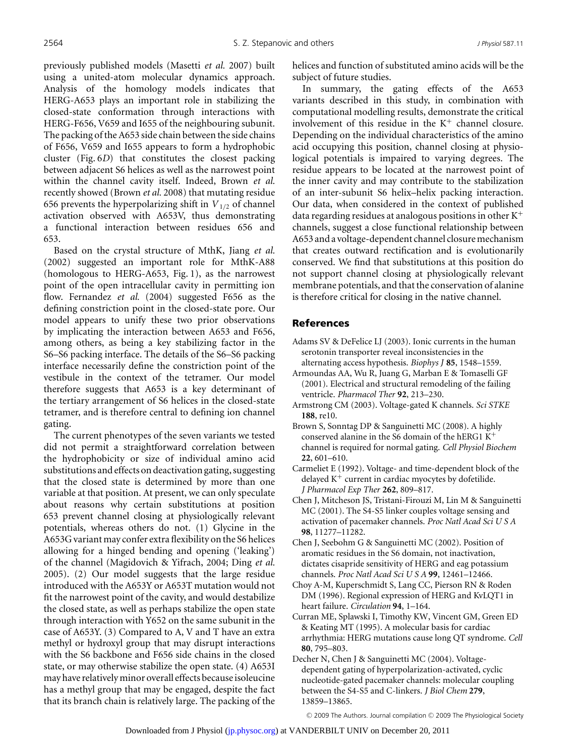previously published models (Masetti *et al.* 2007) built using a united-atom molecular dynamics approach. Analysis of the homology models indicates that HERG-A653 plays an important role in stabilizing the closed-state conformation through interactions with HERG-F656, V659 and I655 of the neighbouring subunit. The packing of the A653 side chain between the side chains of F656, V659 and I655 appears to form a hydrophobic cluster (Fig. 6*D*) that constitutes the closest packing between adjacent S6 helices as well as the narrowest point within the channel cavity itself. Indeed, Brown *et al.* recently showed (Brown *et al.* 2008) that mutating residue 656 prevents the hyperpolarizing shift in  $V_{1/2}$  of channel activation observed with A653V, thus demonstrating a functional interaction between residues 656 and 653.

Based on the crystal structure of MthK, Jiang *et al.* (2002) suggested an important role for MthK-A88 (homologous to HERG-A653, Fig. 1), as the narrowest point of the open intracellular cavity in permitting ion flow. Fernandez *et al.* (2004) suggested F656 as the defining constriction point in the closed-state pore. Our model appears to unify these two prior observations by implicating the interaction between A653 and F656, among others, as being a key stabilizing factor in the S6–S6 packing interface. The details of the S6–S6 packing interface necessarily define the constriction point of the vestibule in the context of the tetramer. Our model therefore suggests that A653 is a key determinant of the tertiary arrangement of S6 helices in the closed-state tetramer, and is therefore central to defining ion channel gating.

The current phenotypes of the seven variants we tested did not permit a straightforward correlation between the hydrophobicity or size of individual amino acid substitutions and effects on deactivation gating, suggesting that the closed state is determined by more than one variable at that position. At present, we can only speculate about reasons why certain substitutions at position 653 prevent channel closing at physiologically relevant potentials, whereas others do not. (1) Glycine in the A653G variant may confer extra flexibility on the S6 helices allowing for a hinged bending and opening ('leaking') of the channel (Magidovich & Yifrach, 2004; Ding *et al.* 2005). (2) Our model suggests that the large residue introduced with the A653Y or A653T mutation would not fit the narrowest point of the cavity, and would destabilize the closed state, as well as perhaps stabilize the open state through interaction with Y652 on the same subunit in the case of A653Y. (3) Compared to A, V and T have an extra methyl or hydroxyl group that may disrupt interactions with the S6 backbone and F656 side chains in the closed state, or may otherwise stabilize the open state. (4) A653I may have relativelyminor overall effects because isoleucine has a methyl group that may be engaged, despite the fact that its branch chain is relatively large. The packing of the helices and function of substituted amino acids will be the subject of future studies.

In summary, the gating effects of the A653 variants described in this study, in combination with computational modelling results, demonstrate the critical involvement of this residue in the  $K^+$  channel closure. Depending on the individual characteristics of the amino acid occupying this position, channel closing at physiological potentials is impaired to varying degrees. The residue appears to be located at the narrowest point of the inner cavity and may contribute to the stabilization of an inter-subunit S6 helix–helix packing interaction. Our data, when considered in the context of published data regarding residues at analogous positions in other  $K^+$ channels, suggest a close functional relationship between A653 and a voltage-dependent channel closure mechanism that creates outward rectification and is evolutionarily conserved. We find that substitutions at this position do not support channel closing at physiologically relevant membrane potentials, and that the conservation of alanine is therefore critical for closing in the native channel.

## References

- Adams SV & DeFelice LJ (2003). Ionic currents in the human serotonin transporter reveal inconsistencies in the alternating access hypothesis. *Biophys J* **85**, 1548–1559.
- Armoundas AA, Wu R, Juang G, Marban E & Tomaselli GF (2001). Electrical and structural remodeling of the failing ventricle. *Pharmacol Ther* **92**, 213–230.
- Armstrong CM (2003). Voltage-gated K channels. *Sci STKE* **188**, re10.
- Brown S, Sonntag DP & Sanguinetti MC (2008). A highly conserved alanine in the S6 domain of the hERG1 K<sup>+</sup> channel is required for normal gating. *Cell Physiol Biochem* **22**, 601–610.
- Carmeliet E (1992). Voltage- and time-dependent block of the delayed  $K^+$  current in cardiac myocytes by dofetilide. *J Pharmacol Exp Ther* **262**, 809–817.
- Chen J, Mitcheson JS, Tristani-Firouzi M, Lin M & Sanguinetti MC (2001). The S4-S5 linker couples voltage sensing and activation of pacemaker channels. *Proc Natl Acad Sci U S A* **98**, 11277–11282.
- Chen J, Seebohm G & Sanguinetti MC (2002). Position of aromatic residues in the S6 domain, not inactivation, dictates cisapride sensitivity of HERG and eag potassium channels. *Proc Natl Acad Sci U S A* **99**, 12461–12466.
- Choy A-M, Kuperschmidt S, Lang CC, Pierson RN & Roden DM (1996). Regional expression of HERG and KvLQT1 in heart failure. *Circulation* **94**, 1–164.
- Curran ME, Splawski I, Timothy KW, Vincent GM, Green ED & Keating MT (1995). A molecular basis for cardiac arrhythmia: HERG mutations cause long QT syndrome. *Cell* **80**, 795–803.
- Decher N, Chen J & Sanguinetti MC (2004). Voltagedependent gating of hyperpolarization-activated, cyclic nucleotide-gated pacemaker channels: molecular coupling between the S4-S5 and C-linkers. *J Biol Chem* **279**, 13859–13865.

© 2009 The Authors. Journal compilation © 2009 The Physiological Society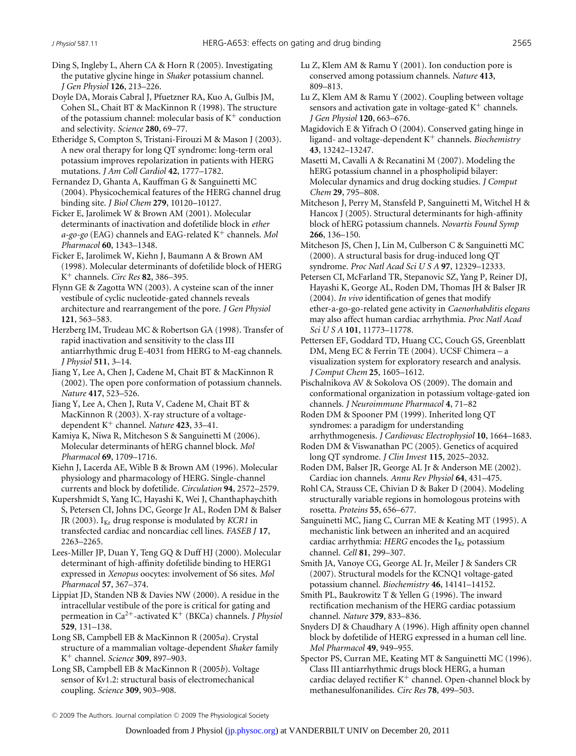Ding S, Ingleby L, Ahern CA & Horn R (2005). Investigating the putative glycine hinge in *Shaker* potassium channel. *J Gen Physiol* **126**, 213–226.

Doyle DA, Morais Cabral J, Pfuetzner RA, Kuo A, Gulbis JM, Cohen SL, Chait BT & MacKinnon R (1998). The structure of the potassium channel: molecular basis of  $K^+$  conduction and selectivity. *Science* **280**, 69–77.

Etheridge S, Compton S, Tristani-Firouzi M & Mason J (2003). A new oral therapy for long QT syndrome: long-term oral potassium improves repolarization in patients with HERG mutations. *J Am Coll Cardiol* **42**, 1777–1782.

Fernandez D, Ghanta A, Kauffman G & Sanguinetti MC (2004). Physicochemical features of the HERG channel drug binding site. *J Biol Chem* **279**, 10120–10127.

Ficker E, Jarolimek W & Brown AM (2001). Molecular determinants of inactivation and dofetilide block in *ether a-go-go* (EAG) channels and EAG-related K<sup>+</sup> channels. *Mol Pharmacol* **60**, 1343–1348.

Ficker E, Jarolimek W, Kiehn J, Baumann A & Brown AM (1998). Molecular determinants of dofetilide block of HERG K<sup>+</sup> channels. *Circ Res* **82**, 386–395.

Flynn GE & Zagotta WN (2003). A cysteine scan of the inner vestibule of cyclic nucleotide-gated channels reveals architecture and rearrangement of the pore. *J Gen Physiol* **121**, 563–583.

Herzberg IM, Trudeau MC & Robertson GA (1998). Transfer of rapid inactivation and sensitivity to the class III antiarrhythmic drug E-4031 from HERG to M-eag channels. *J Physiol* **511**, 3–14.

Jiang Y, Lee A, Chen J, Cadene M, Chait BT & MacKinnon R (2002). The open pore conformation of potassium channels. *Nature* **417**, 523–526.

Jiang Y, Lee A, Chen J, Ruta V, Cadene M, Chait BT & MacKinnon R (2003). X-ray structure of a voltagedependent K<sup>+</sup> channel. *Nature* **423**, 33–41.

Kamiya K, Niwa R, Mitcheson S & Sanguinetti M (2006). Molecular determinants of hERG channel block. *Mol Pharmacol* **69**, 1709–1716.

Kiehn J, Lacerda AE, Wible B & Brown AM (1996). Molecular physiology and pharmacology of HERG. Single-channel currents and block by dofetilide. *Circulation* **94**, 2572–2579.

Kupershmidt S, Yang IC, Hayashi K, Wei J, Chanthaphaychith S, Petersen CI, Johns DC, George Jr AL, Roden DM & Balser JR (2003). I<sub>Kr</sub> drug response is modulated by *KCR1* in transfected cardiac and noncardiac cell lines. *FASEB J* **17**, 2263–2265.

Lees-Miller JP, Duan Y, Teng GQ & Duff HJ (2000). Molecular determinant of high-affinity dofetilide binding to HERG1 expressed in *Xenopus* oocytes: involvement of S6 sites. *Mol Pharmacol* **57**, 367–374.

Lippiat JD, Standen NB & Davies NW (2000). A residue in the intracellular vestibule of the pore is critical for gating and permeation in Ca<sup>2</sup>+-activated K<sup>+</sup> (BKCa) channels. *J Physiol* **529**, 131–138.

Long SB, Campbell EB & MacKinnon R (2005*a*). Crystal structure of a mammalian voltage-dependent *Shaker* family K<sup>+</sup> channel. *Science* **309**, 897–903.

Long SB, Campbell EB & MacKinnon R (2005*b*). Voltage sensor of Kv1.2: structural basis of electromechanical coupling. *Science* **309**, 903–908.

- Lu Z, Klem AM & Ramu Y (2001). Ion conduction pore is conserved among potassium channels. *Nature* **413**, 809–813.
- Lu Z, Klem AM & Ramu Y (2002). Coupling between voltage sensors and activation gate in voltage-gated  $K^+$  channels. *J Gen Physiol* **120**, 663–676.

Magidovich E & Yifrach O (2004). Conserved gating hinge in ligand- and voltage-dependent K<sup>+</sup> channels. *Biochemistry* **43**, 13242–13247.

Masetti M, Cavalli A & Recanatini M (2007). Modeling the hERG potassium channel in a phospholipid bilayer: Molecular dynamics and drug docking studies. *J Comput Chem* **29**, 795–808.

Mitcheson J, Perry M, Stansfeld P, Sanguinetti M, Witchel H & Hancox J (2005). Structural determinants for high-affinity block of hERG potassium channels. *Novartis Found Symp* **266**, 136–150.

Mitcheson JS, Chen J, Lin M, Culberson C & Sanguinetti MC (2000). A structural basis for drug-induced long QT syndrome. *Proc Natl Acad Sci U S A* **97**, 12329–12333.

Petersen CI, McFarland TR, Stepanovic SZ, Yang P, Reiner DJ, Hayashi K, George AL, Roden DM, Thomas JH & Balser JR (2004). *In vivo* identification of genes that modify ether-a-go-go-related gene activity in *Caenorhabditis elegans* may also affect human cardiac arrhythmia. *Proc Natl Acad Sci U S A* **101**, 11773–11778.

Pettersen EF, Goddard TD, Huang CC, Couch GS, Greenblatt DM, Meng EC & Ferrin TE (2004). UCSF Chimera – a visualization system for exploratory research and analysis. *J Comput Chem* **25**, 1605–1612.

Pischalnikova AV & Sokolova OS (2009). The domain and conformational organization in potassium voltage-gated ion channels. *J Neuroimmune Pharmacol* **4**, 71–82

Roden DM & Spooner PM (1999). Inherited long QT syndromes: a paradigm for understanding arrhythmogenesis. *J Cardiovasc Electrophysiol* **10**, 1664–1683.

- Roden DM & Viswanathan PC (2005). Genetics of acquired long QT syndrome. *J Clin Invest* **115**, 2025–2032.
- Roden DM, Balser JR, George AL Jr & Anderson ME (2002). Cardiac ion channels. *Annu Rev Physiol* **64**, 431–475.

Rohl CA, Strauss CE, Chivian D & Baker D (2004). Modeling structurally variable regions in homologous proteins with rosetta. *Proteins* **55**, 656–677.

Sanguinetti MC, Jiang C, Curran ME & Keating MT (1995). A mechanistic link between an inherited and an acquired cardiac arrhythmia:  $HERG$  encodes the  $I_{Kr}$  potassium channel. *Cell* **81**, 299–307.

Smith JA, Vanoye CG, George AL Jr, Meiler J & Sanders CR (2007). Structural models for the KCNQ1 voltage-gated potassium channel. *Biochemistry* **46**, 14141–14152.

Smith PL, Baukrowitz T & Yellen G (1996). The inward rectification mechanism of the HERG cardiac potassium channel. *Nature* **379**, 833–836.

Snyders DJ & Chaudhary A (1996). High affinity open channel block by dofetilide of HERG expressed in a human cell line. *Mol Pharmacol* **49**, 949–955.

Spector PS, Curran ME, Keating MT & Sanguinetti MC (1996). Class III antiarrhythmic drugs block HERG, a human cardiac delayed rectifier  $K^+$  channel. Open-channel block by methanesulfonanilides. *Circ Res* **78**, 499–503.

© 2009 The Authors. Journal compilation © 2009 The Physiological Society